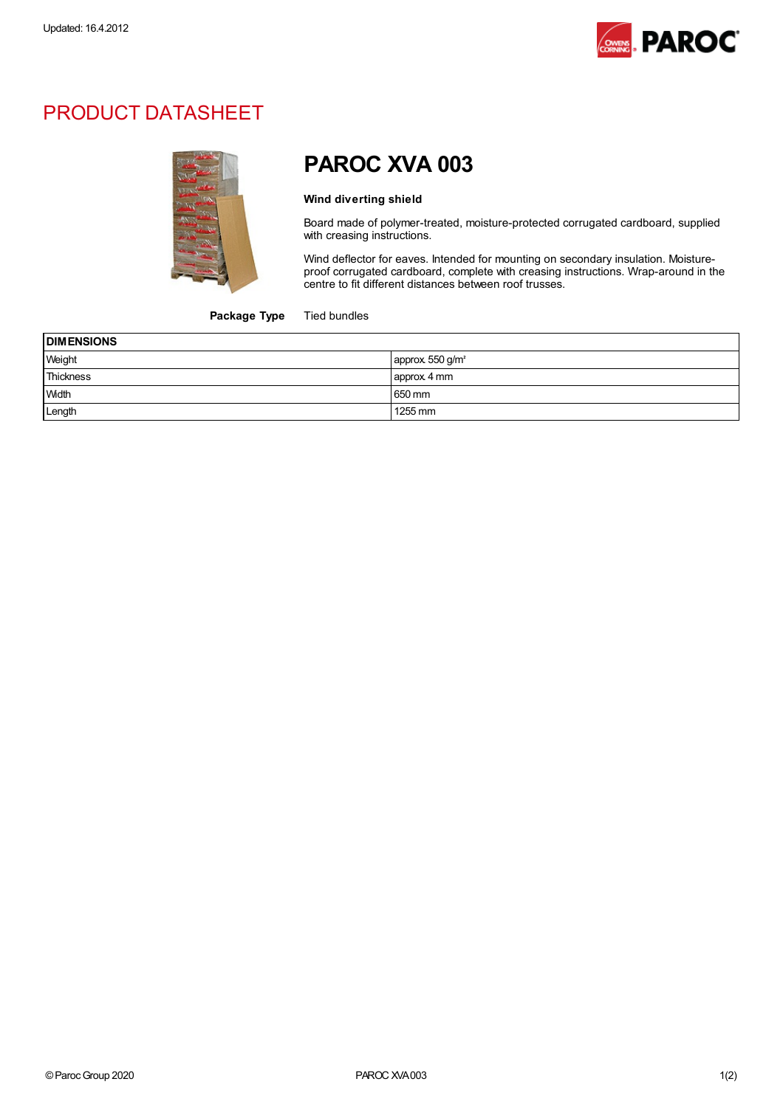

## PRODUCT DATASHEET



# PAROC XVA 003

#### Wind diverting shield

Board made of polymer-treated, moisture-protected corrugated cardboard, supplied with creasing instructions.

Wind deflector for eaves. Intended for mounting on secondary insulation. Moistureproof corrugated cardboard, complete with creasing instructions. Wrap-around in the centre to fit different distances between roof trusses.

#### Package Type Tied bundles

| <b>DIMENSIONS</b> |                             |
|-------------------|-----------------------------|
| Weight            | approx 550 g/m <sup>2</sup> |
| Thickness         | approx 4 mm                 |
| <b>Width</b>      | 650 mm                      |
| Length            | 1255 mm                     |